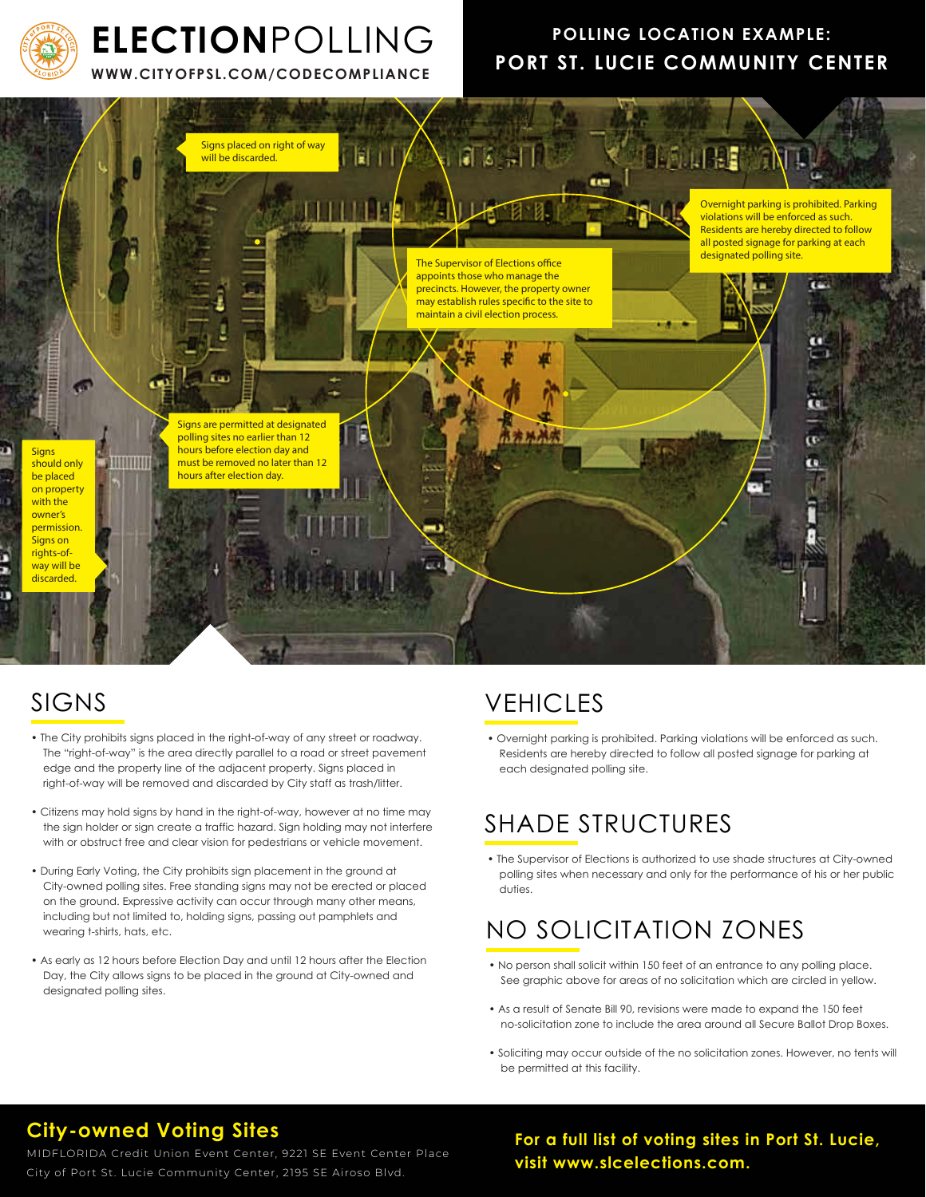

# **ELECTION**POLLING

**WWW.CITYOFPSL.COM/CODECOMPLIANCE**

### **POLLING LOCATION EXAMPLE: PORT ST. LUCIE COMMUNITY CENTER**



### SIGNS

- The City prohibits signs placed in the right-of-way of any street or roadway. The "right-of-way" is the area directly parallel to a road or street pavement edge and the property line of the adjacent property. Signs placed in right-of-way will be removed and discarded by City staff as trash/litter.
- Citizens may hold signs by hand in the right-of-way, however at no time may the sign holder or sign create a traffic hazard. Sign holding may not interfere with or obstruct free and clear vision for pedestrians or vehicle movement.
- During Early Voting, the City prohibits sign placement in the ground at City-owned polling sites. Free standing signs may not be erected or placed on the ground. Expressive activity can occur through many other means, including but not limited to, holding signs, passing out pamphlets and wearing t-shirts, hats, etc.
- As early as 12 hours before Election Day and until 12 hours after the Election Day, the City allows signs to be placed in the ground at City-owned and designated polling sites.

### VEHICLES

• Overnight parking is prohibited. Parking violations will be enforced as such. Residents are hereby directed to follow all posted signage for parking at each designated polling site.

## SHADE STRUCTURES

• The Supervisor of Elections is authorized to use shade structures at City-owned polling sites when necessary and only for the performance of his or her public duties.

## NO SOLICITATION ZONES

- No person shall solicit within 150 feet of an entrance to any polling place. See graphic above for areas of no solicitation which are circled in yellow.
- As a result of Senate Bill 90, revisions were made to expand the 150 feet no-solicitation zone to include the area around all Secure Ballot Drop Boxes.
- Soliciting may occur outside of the no solicitation zones. However, no tents will be permitted at this facility.

### **City-owned Voting Sites**

MIDFLORIDA Credit Union Event Center, 9221 SE Event Center Place City of Port St. Lucie Community Center, 2195 SE Airoso Blvd.

**For a full list of voting sites in Port St. Lucie, visit www.slcelections.com.**